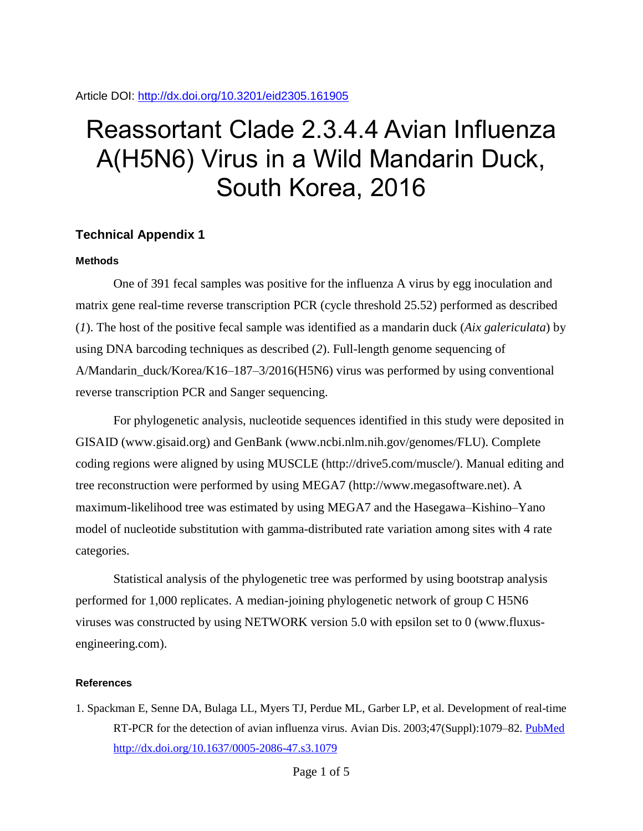Article DOI:<http://dx.doi.org/10.3201/eid2305.161905>

## Reassortant Clade 2.3.4.4 Avian Influenza A(H5N6) Virus in a Wild Mandarin Duck, South Korea, 2016

## **Technical Appendix 1**

## **Methods**

One of 391 fecal samples was positive for the influenza A virus by egg inoculation and matrix gene real-time reverse transcription PCR (cycle threshold 25.52) performed as described (*1*). The host of the positive fecal sample was identified as a mandarin duck (*Aix galericulata*) by using DNA barcoding techniques as described (*2*). Full-length genome sequencing of A/Mandarin\_duck/Korea/K16–187–3/2016(H5N6) virus was performed by using conventional reverse transcription PCR and Sanger sequencing.

For phylogenetic analysis, nucleotide sequences identified in this study were deposited in GISAID (www.gisaid.org) and GenBank (www.ncbi.nlm.nih.gov/genomes/FLU). Complete coding regions were aligned by using MUSCLE (http://drive5.com/muscle/). Manual editing and tree reconstruction were performed by using MEGA7 (http://www.megasoftware.net). A maximum-likelihood tree was estimated by using MEGA7 and the Hasegawa–Kishino–Yano model of nucleotide substitution with gamma-distributed rate variation among sites with 4 rate categories.

Statistical analysis of the phylogenetic tree was performed by using bootstrap analysis performed for 1,000 replicates. A median-joining phylogenetic network of group C H5N6 viruses was constructed by using NETWORK version 5.0 with epsilon set to 0 (www.fluxusengineering.com).

## **References**

1. Spackman E, Senne DA, Bulaga LL, Myers TJ, Perdue ML, Garber LP, et al. Development of real-time RT-PCR for the detection of avian influenza virus. Avian Dis. 2003;47(Suppl):1079–82. [PubMed](https://www.ncbi.nlm.nih.gov/entrez/query.fcgi?cmd=Retrieve&db=PubMed&list_uids=14575115&dopt=Abstract) <http://dx.doi.org/10.1637/0005-2086-47.s3.1079>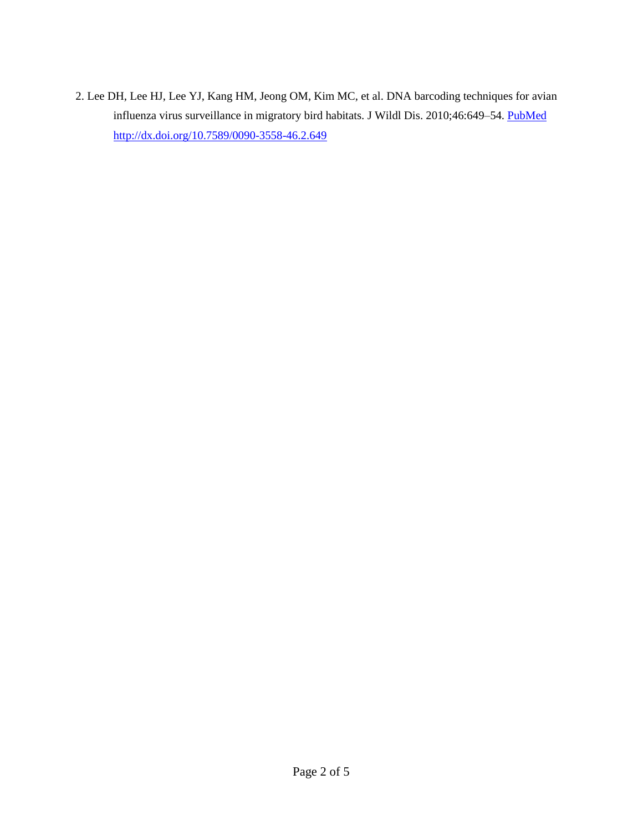2. Lee DH, Lee HJ, Lee YJ, Kang HM, Jeong OM, Kim MC, et al. DNA barcoding techniques for avian influenza virus surveillance in migratory bird habitats. J Wildl Dis. 2010;46:649–54. [PubMed](https://www.ncbi.nlm.nih.gov/entrez/query.fcgi?cmd=Retrieve&db=PubMed&list_uids=20688667&dopt=Abstract) <http://dx.doi.org/10.7589/0090-3558-46.2.649>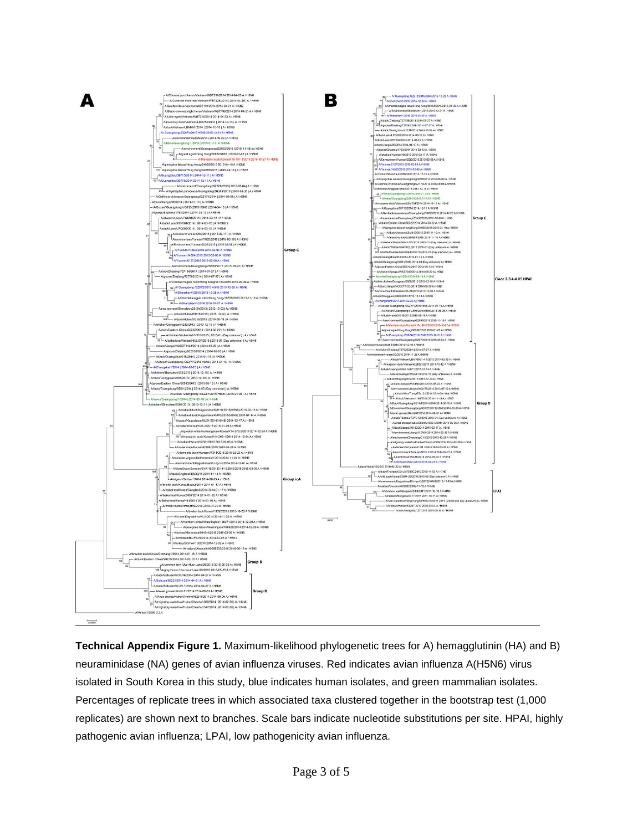

**Technical Appendix Figure 1.** Maximum-likelihood phylogenetic trees for A) hemagglutinin (HA) and B) neuraminidase (NA) genes of avian influenza viruses. Red indicates avian influenza A(H5N6) virus isolated in South Korea in this study, blue indicates human isolates, and green mammalian isolates. Percentages of replicate trees in which associated taxa clustered together in the bootstrap test (1,000 replicates) are shown next to branches. Scale bars indicate nucleotide substitutions per site. HPAI, highly pathogenic avian influenza; LPAI, low pathogenicity avian influenza.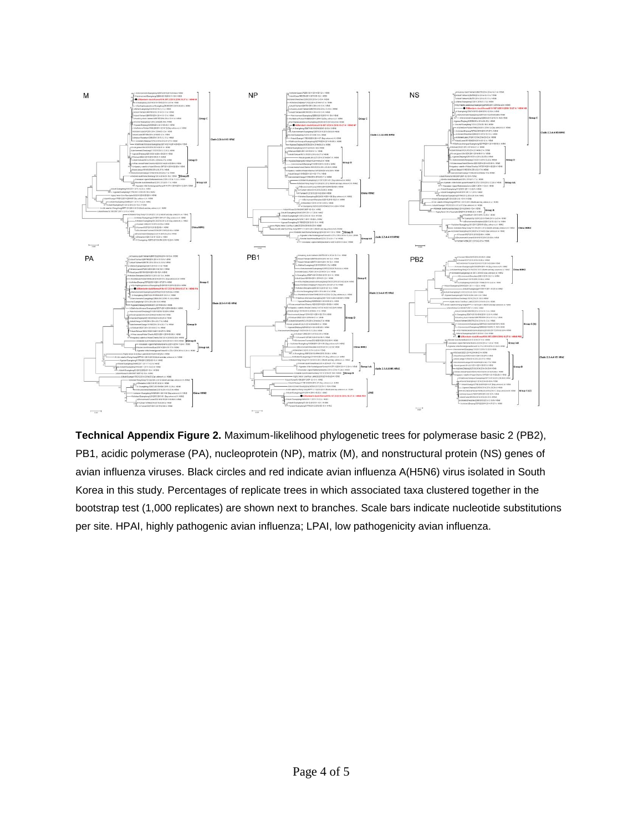

**Technical Appendix Figure 2.** Maximum-likelihood phylogenetic trees for polymerase basic 2 (PB2), PB1, acidic polymerase (PA), nucleoprotein (NP), matrix (M), and nonstructural protein (NS) genes of avian influenza viruses. Black circles and red indicate avian influenza A(H5N6) virus isolated in South Korea in this study. Percentages of replicate trees in which associated taxa clustered together in the bootstrap test (1,000 replicates) are shown next to branches. Scale bars indicate nucleotide substitutions per site. HPAI, highly pathogenic avian influenza; LPAI, low pathogenicity avian influenza.